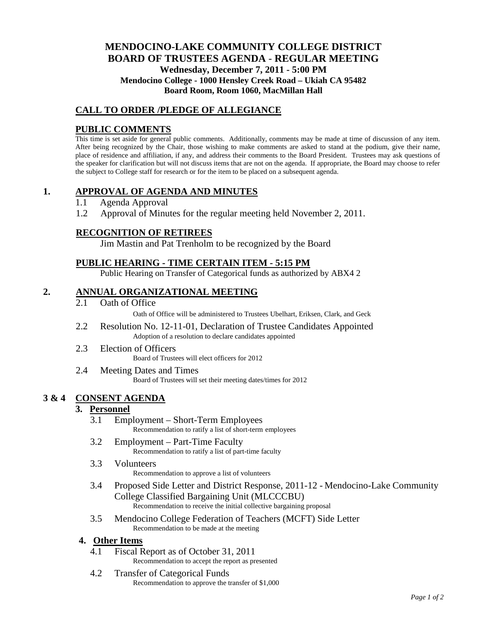## **MENDOCINO-LAKE COMMUNITY COLLEGE DISTRICT BOARD OF TRUSTEES AGENDA** - **REGULAR MEETING Wednesday, December 7, 2011 - 5:00 PM Mendocino College - 1000 Hensley Creek Road – Ukiah CA 95482 Board Room, Room 1060, MacMillan Hall**

## **CALL TO ORDER /PLEDGE OF ALLEGIANCE**

## **PUBLIC COMMENTS**

This time is set aside for general public comments. Additionally, comments may be made at time of discussion of any item. After being recognized by the Chair, those wishing to make comments are asked to stand at the podium, give their name, place of residence and affiliation, if any, and address their comments to the Board President. Trustees may ask questions of the speaker for clarification but will not discuss items that are not on the agenda. If appropriate, the Board may choose to refer the subject to College staff for research or for the item to be placed on a subsequent agenda.

## **1. APPROVAL OF AGENDA AND MINUTES**

- 1.1 Agenda Approval
- 1.2 Approval of Minutes for the regular meeting held November 2, 2011.

## **RECOGNITION OF RETIREES**

Jim Mastin and Pat Trenholm to be recognized by the Board

## **PUBLIC HEARING - TIME CERTAIN ITEM - 5:15 PM**

Public Hearing on Transfer of Categorical funds as authorized by ABX4 2

## **2. ANNUAL ORGANIZATIONAL MEETING**

2.1 Oath of Office

Oath of Office will be administered to Trustees Ubelhart, Eriksen, Clark, and Geck

- 2.2 Resolution No. 12-11-01, Declaration of Trustee Candidates Appointed Adoption of a resolution to declare candidates appointed
- 2.3 Election of Officers Board of Trustees will elect officers for 2012
- 2.4 Meeting Dates and Times Board of Trustees will set their meeting dates/times for 2012

#### **3 & 4 CONSENT AGENDA**

#### **3. Personnel**

- 3.1 Employment Short-Term Employees Recommendation to ratify a list of short-term employees
- 3.2 Employment Part-Time Faculty Recommendation to ratify a list of part-time faculty
- 3.3 Volunteers Recommendation to approve a list of volunteers
- 3.4 Proposed Side Letter and District Response, 2011-12 Mendocino-Lake Community College Classified Bargaining Unit (MLCCCBU) Recommendation to receive the initial collective bargaining proposal
- 3.5 Mendocino College Federation of Teachers (MCFT) Side Letter Recommendation to be made at the meeting

#### **4. Other Items**

- 4.1 Fiscal Report as of October 31, 2011 Recommendation to accept the report as presented
- 4.2 Transfer of Categorical Funds Recommendation to approve the transfer of \$1,000